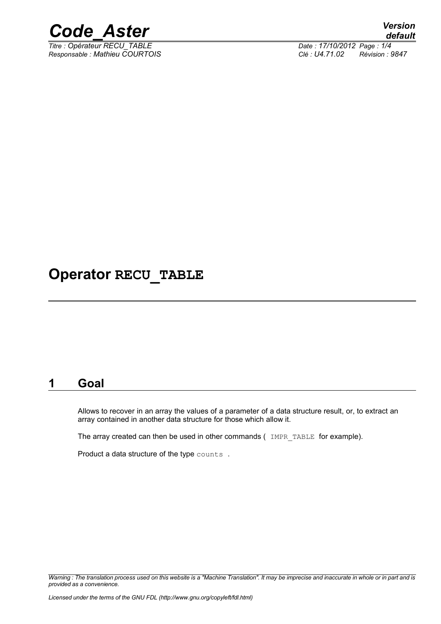

*Titre : Opérateur RECU\_TABLE Date : 17/10/2012 Page : 1/4*

*Responsable : Mathieu COURTOIS Clé : U4.71.02 Révision : 9847*

## **Operator RECU\_TABLE**

#### **1 Goal**

Allows to recover in an array the values of a parameter of a data structure result, or, to extract an array contained in another data structure for those which allow it.

The array created can then be used in other commands ( IMPR TABLE for example).

Product a data structure of the type counts.

*Warning : The translation process used on this website is a "Machine Translation". It may be imprecise and inaccurate in whole or in part and is provided as a convenience.*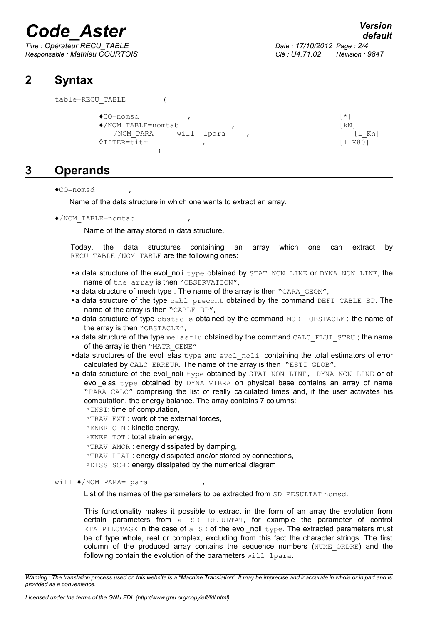# *Code\_Aster Version*

*Titre : Opérateur RECU\_TABLE Date : 17/10/2012 Page : 2/4 Responsable : Mathieu COURTOIS Clé : U4.71.02 Révision : 9847*

### **2 Syntax**

```
table=RECU_TABLE (
\bulletCO=nomsd ,
♦/NOM_TABLE=nomtab , [kN]
  \overline{NOM} PARA will =lpara , [1 Kn]◊TITER=titr , [l_K80]
       )
```
### **3 Operands**

♦CO=nomsd ,

Name of the data structure in which one wants to extract an array.

♦/NOM\_TABLE=nomtab ,

Name of the array stored in data structure.

Today, the data structures containing an array which one can extract by RECU\_TABLE /NOM\_TABLE are the following ones:

- •a data structure of the evol noli type obtained by STAT\_NON\_LINE or DYNA\_NON\_LINE, the name of the array is then "OBSERVATION",
- a data structure of mesh type . The name of the array is then "CARA\_GEOM",
- •a data structure of the type cabl\_precont obtained by the command DEFI\_CABLE\_BP. The name of the array is then "CABLE\_BP",
- •a data structure of type obstacle obtained by the command MODI OBSTACLE; the name of the array is then "OBSTACLE",
- •a data structure of the type  $m$ elasflu obtained by the command CALC FLUI STRU ; the name of the array is then "MATR\_GENE".
- data structures of the evol elas  $t$ ype and evol noli containing the total estimators of error calculated by CALC\_ERREUR. The name of the array is then "ESTI\_GLOB".
- •a data structure of the evol noli type obtained by STAT NON LINE, DYNA NON LINE or of evol\_elas type obtained by DYNA VIBRA on physical base contains an array of name "PARA\_CALC" comprising the list of really calculated times and, if the user activates his computation, the energy balance. The array contains 7 columns: ◦INST: time of computation,
	- ◦TRAV\_EXT : work of the external forces,
	- ◦ENER\_CIN : kinetic energy,
	- ◦ENER\_TOT : total strain energy,
	- ◦TRAV\_AMOR : energy dissipated by damping,
	- ◦TRAV\_LIAI : energy dissipated and/or stored by connections,
	- ◦DISS\_SCH : energy dissipated by the numerical diagram.
- will ♦/NOM\_PARA=lpara ,

List of the names of the parameters to be extracted from SD RESULTAT nomsd.

This functionality makes it possible to extract in the form of an array the evolution from certain parameters from a SD RESULTAT, for example the parameter of control ETA PILOTAGE in the case of a  $SD$  of the evol noli type. The extracted parameters must be of type whole, real or complex, excluding from this fact the character strings. The first column of the produced array contains the sequence numbers (NUME\_ORDRE) and the following contain the evolution of the parameters  $with$  lpara.

*Warning : The translation process used on this website is a "Machine Translation". It may be imprecise and inaccurate in whole or in part and is provided as a convenience.*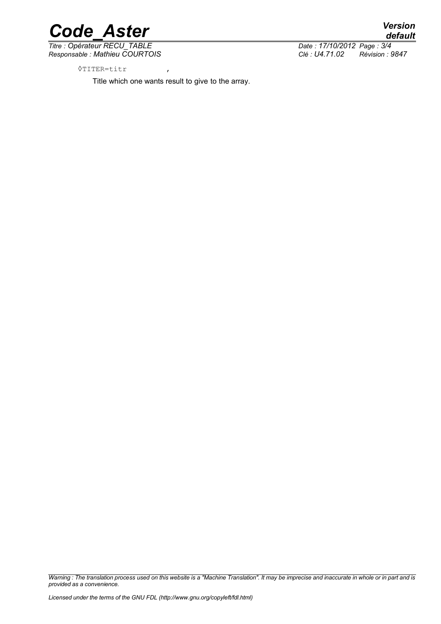

*Titre : Opérateur RECU\_TABLE Date : 17/10/2012 Page : 3/4 Responsable : Mathieu COURTOIS Clé : U4.71.02 Révision : 9847*

◊TITER=titr ,

Title which one wants result to give to the array.

*Warning : The translation process used on this website is a "Machine Translation". It may be imprecise and inaccurate in whole or in part and is provided as a convenience.*